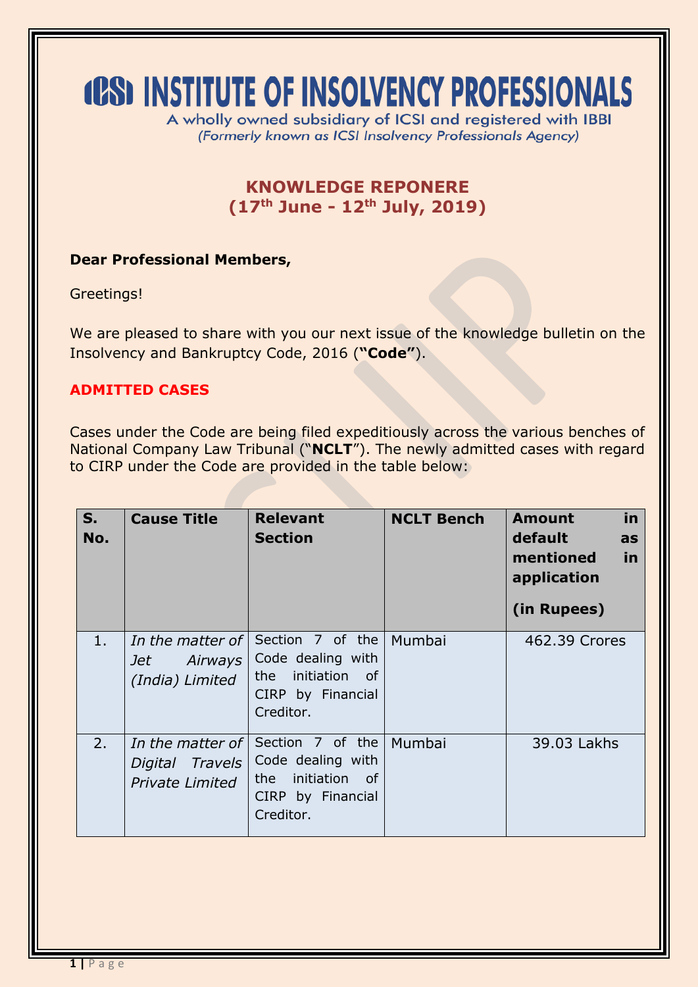# **(CS) INSTITUTE OF INSOLVENCY PROFESSIONALS**

A wholly owned subsidiary of ICSI and registered with IBBI (Formerly known as ICSI Insolvency Professionals Agency)

## **KNOWLEDGE REPONERE (17 th June - 12th July, 2019)**

## **Dear Professional Members,**

Greetings!

We are pleased to share with you our next issue of the knowledge bulletin on the Insolvency and Bankruptcy Code, 2016 (**"Code"**).

#### **ADMITTED CASES**

Cases under the Code are being filed expeditiously across the various benches of National Company Law Tribunal ("**NCLT**"). The newly admitted cases with regard to CIRP under the Code are provided in the table below:

| $S_{1}$<br>No. | <b>Cause Title</b>                                             | <b>Relevant</b><br><b>Section</b>                                                               | <b>NCLT Bench</b> | in<br><b>Amount</b><br>default<br>as<br>mentioned<br>in<br>application<br>(in Rupees) |
|----------------|----------------------------------------------------------------|-------------------------------------------------------------------------------------------------|-------------------|---------------------------------------------------------------------------------------|
| 1.             | In the matter of $\mathsf I$<br>Jet Airways<br>(India) Limited | Section 7 of the<br>Code dealing with<br>initiation of<br>the<br>CIRP by Financial<br>Creditor. | Mumbai            | 462.39 Crores                                                                         |
| 2.             | In the matter of<br>Digital Travels<br><b>Private Limited</b>  | Section 7 of the<br>Code dealing with<br>the initiation of<br>CIRP by Financial<br>Creditor.    | Mumbai            | 39.03 Lakhs                                                                           |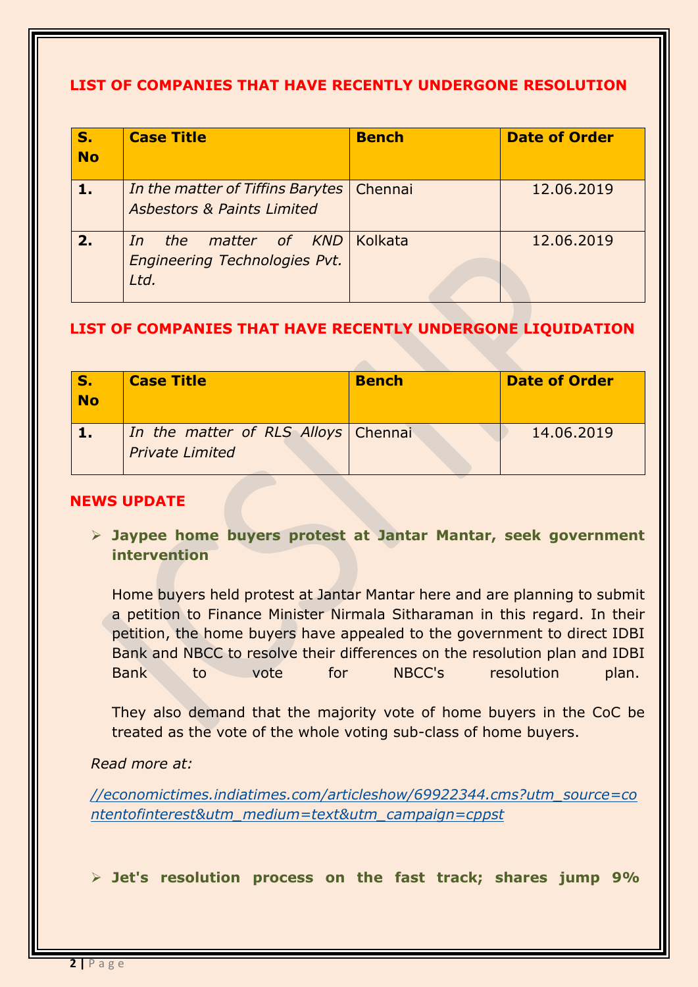## **LIST OF COMPANIES THAT HAVE RECENTLY UNDERGONE RESOLUTION**

| $S_{-}$<br><b>No</b> | <b>Case Title</b>                                                          | <b>Bench</b> | <b>Date of Order</b> |
|----------------------|----------------------------------------------------------------------------|--------------|----------------------|
| $\mathbf{1}$ .       | In the matter of Tiffins Barytes<br><b>Asbestors &amp; Paints Limited</b>  | Chennai      | 12.06.2019           |
| 2.                   | matter of KND<br>the<br><i>In</i><br>Engineering Technologies Pvt.<br>Ltd. | Kolkata      | 12.06.2019           |

## **LIST OF COMPANIES THAT HAVE RECENTLY UNDERGONE LIQUIDATION**

| <b>No</b> | <b>Case Title</b>                                               | <b>Bench</b> | <b>Date of Order</b> |
|-----------|-----------------------------------------------------------------|--------------|----------------------|
|           | In the matter of RLS Alloys   Chennai<br><b>Private Limited</b> |              | 14.06.2019           |

#### **NEWS UPDATE**

 **Jaypee home buyers protest at Jantar Mantar, seek government intervention**

Home buyers held protest at Jantar Mantar here and are planning to submit a petition to Finance Minister Nirmala Sitharaman in this regard. In their petition, the home buyers have appealed to the government to direct IDBI Bank and NBCC to resolve their differences on the resolution plan and IDBI Bank to vote for NBCC's resolution plan.

They also demand that the majority vote of home buyers in the CoC be treated as the vote of the whole voting sub-class of home buyers.

#### *Read more at:*

*[//economictimes.indiatimes.com/articleshow/69922344.cms?utm\\_source=co](https://economictimes.indiatimes.com/articleshow/69922344.cms?utm_source=contentofinterest&utm_medium=text&utm_campaign=cppst) [ntentofinterest&utm\\_medium=text&utm\\_campaign=cppst](https://economictimes.indiatimes.com/articleshow/69922344.cms?utm_source=contentofinterest&utm_medium=text&utm_campaign=cppst)*

**Jet's resolution process on the fast track; shares jump 9%**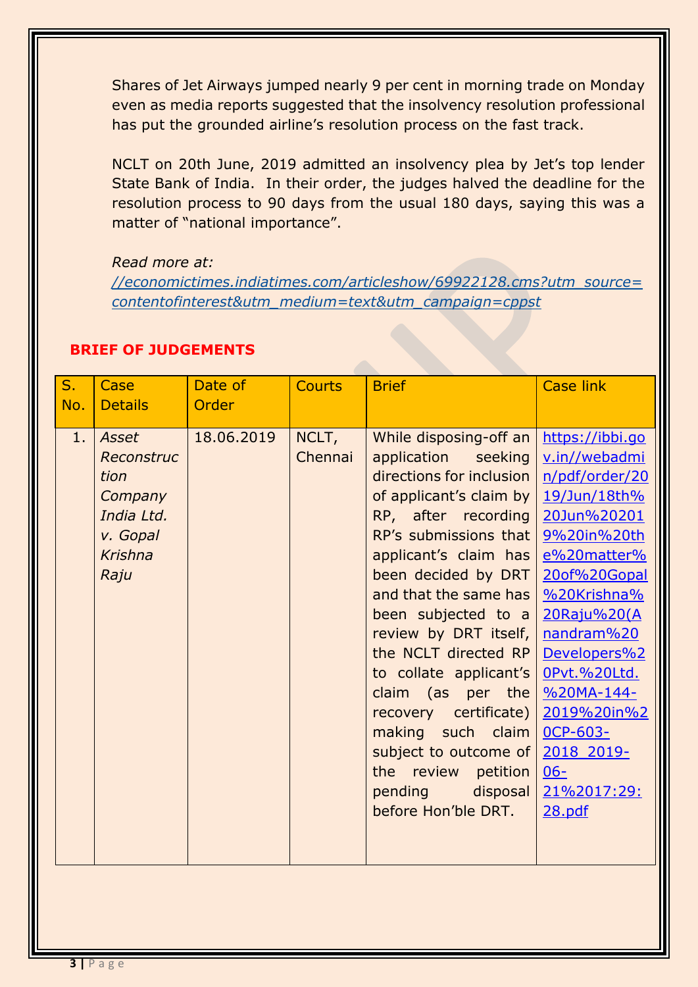Shares of Jet Airways jumped nearly 9 per cent in morning trade on Monday even as media reports suggested that the insolvency resolution professional has put the grounded airline's resolution process on the fast track.

NCLT on 20th June, 2019 admitted an insolvency plea by Jet's top lender State Bank of India. In their order, the judges halved the deadline for the resolution process to 90 days from the usual 180 days, saying this was a matter of "national importance".

#### *Read more at:*

*[//economictimes.indiatimes.com/articleshow/69922128.cms?utm\\_source=](https://economictimes.indiatimes.com/articleshow/69922128.cms?utm_source=contentofinterest&utm_medium=text&utm_campaign=cppst) [contentofinterest&utm\\_medium=text&utm\\_campaign=cppst](https://economictimes.indiatimes.com/articleshow/69922128.cms?utm_source=contentofinterest&utm_medium=text&utm_campaign=cppst)*

| $S_{1}$   | Case                                                                                                  | Date of             | <b>Courts</b>    | <b>Brief</b>                                                                                                                                                                                                                                                                                                                                                                                                                                                               | <b>Case link</b>                                                                                                                                                                                                                                                                            |
|-----------|-------------------------------------------------------------------------------------------------------|---------------------|------------------|----------------------------------------------------------------------------------------------------------------------------------------------------------------------------------------------------------------------------------------------------------------------------------------------------------------------------------------------------------------------------------------------------------------------------------------------------------------------------|---------------------------------------------------------------------------------------------------------------------------------------------------------------------------------------------------------------------------------------------------------------------------------------------|
|           |                                                                                                       |                     |                  |                                                                                                                                                                                                                                                                                                                                                                                                                                                                            |                                                                                                                                                                                                                                                                                             |
| No.<br>1. | <b>Details</b><br>Asset<br>Reconstruc<br>tion<br>Company<br>India Ltd.<br>v. Gopal<br>Krishna<br>Raju | Order<br>18.06.2019 | NCLT,<br>Chennai | While disposing-off an<br>application seeking<br>directions for inclusion<br>of applicant's claim by<br>RP, after recording<br>RP's submissions that<br>applicant's claim has<br>been decided by DRT<br>and that the same has<br>been subjected to $a$<br>review by DRT itself,<br>the NCLT directed RP<br>to collate applicant's<br>claim (as per the<br>recovery certificate)  <br>making such claim<br>subject to outcome of<br>the review petition<br>pending disposal | https://ibbi.go<br>v.in//webadmi<br>n/pdf/order/20<br>19/Jun/18th%<br>20Jun%20201<br>9%20in%20th<br>e%20matter%<br>20of%20Gopal<br>%20Krishna%<br>20Raju%20(A<br>nandram%20<br>Developers%2<br>OPvt.%20Ltd.<br>%20MA-144-<br>2019%20in%2<br>OCP-603-<br>2018 2019-<br>$06 -$<br>21%2017:29: |
|           |                                                                                                       |                     |                  | before Hon'ble DRT.                                                                                                                                                                                                                                                                                                                                                                                                                                                        | 28.pdf                                                                                                                                                                                                                                                                                      |

### **BRIEF OF JUDGEMENTS**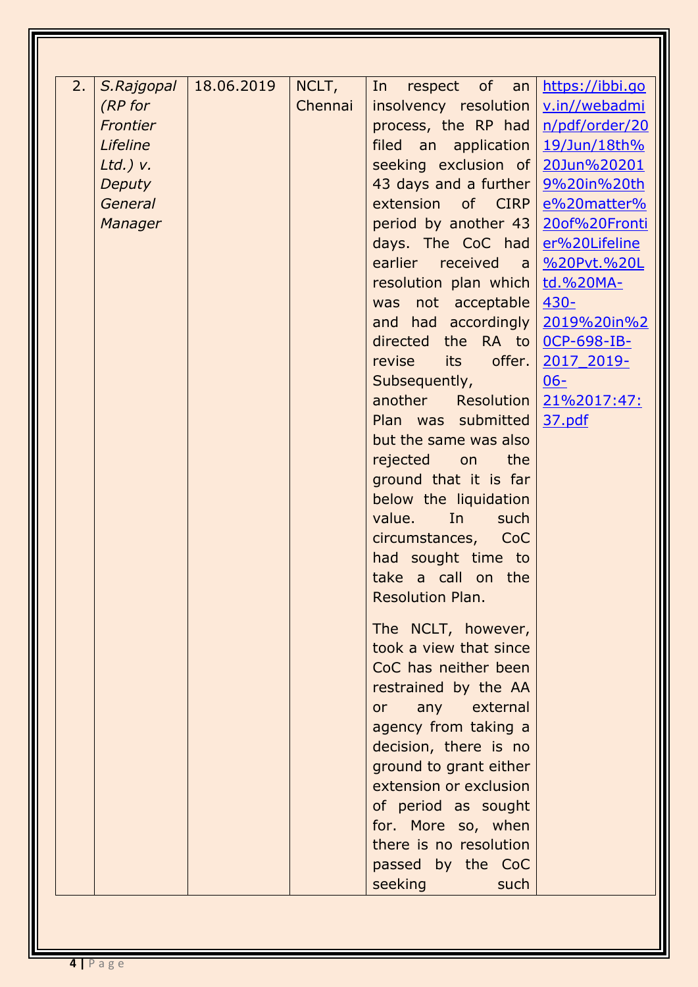| 2. | S.Rajgopal     | 18.06.2019 | NCLT,   | respect of an<br>In                       | https://ibbi.go      |
|----|----------------|------------|---------|-------------------------------------------|----------------------|
|    | (RP for        |            | Chennai | $insolvency$ resolution $\nu.in//webadmi$ |                      |
|    | Frontier       |            |         | process, the RP had   n/pdf/order/20      |                      |
|    | Lifeline       |            |         | filed an application $19/$ Jun/18th%      |                      |
|    | $Ltd.$ ) v.    |            |         | seeking exclusion of 20Jun%20201          |                      |
|    | Deputy         |            |         | 43 days and a further   9%20in%20th       |                      |
|    | <b>General</b> |            |         | extension of CIRP                         | e%20matter%          |
|    | Manager        |            |         | period by another 43                      | 20of%20Fronti        |
|    |                |            |         | days. The CoC had                         | er%20Lifeline        |
|    |                |            |         | earlier received                          | a <u>%20Pvt.%20L</u> |
|    |                |            |         | resolution plan which                     | td.%20MA-            |
|    |                |            |         | was not acceptable 430-                   |                      |
|    |                |            |         | and had accordingly 2019%20in%2           |                      |
|    |                |            |         | directed the RA to 0CP-698-IB-            |                      |
|    |                |            |         | its offer. $\vert$<br>revise              |                      |
|    |                |            |         |                                           | 2017 2019-           |
|    |                |            |         | Subsequently,                             | $06 -$               |
|    |                |            |         | another Resolution 21%2017:47:            |                      |
|    |                |            |         | Plan was submitted                        | 37.pdf               |
|    |                |            |         | but the same was also                     |                      |
|    |                |            |         | rejected on<br>the                        |                      |
|    |                |            |         | ground that it is far                     |                      |
|    |                |            |         | below the liquidation                     |                      |
|    |                |            |         | value.<br>In<br>such                      |                      |
|    |                |            |         | circumstances, CoC                        |                      |
|    |                |            |         | had sought time to                        |                      |
|    |                |            |         | take a call on the                        |                      |
|    |                |            |         | Resolution Plan.                          |                      |
|    |                |            |         |                                           |                      |
|    |                |            |         | The NCLT, however,                        |                      |
|    |                |            |         | took a view that since                    |                      |
|    |                |            |         | CoC has neither been                      |                      |
|    |                |            |         | restrained by the AA                      |                      |
|    |                |            |         | external<br>any<br><b>or</b>              |                      |
|    |                |            |         | agency from taking a                      |                      |
|    |                |            |         | decision, there is no                     |                      |
|    |                |            |         | ground to grant either                    |                      |
|    |                |            |         | extension or exclusion                    |                      |
|    |                |            |         | of period as sought                       |                      |
|    |                |            |         | for. More so, when                        |                      |
|    |                |            |         | there is no resolution                    |                      |
|    |                |            |         | passed by the CoC                         |                      |
|    |                |            |         | seeking<br>such                           |                      |
|    |                |            |         |                                           |                      |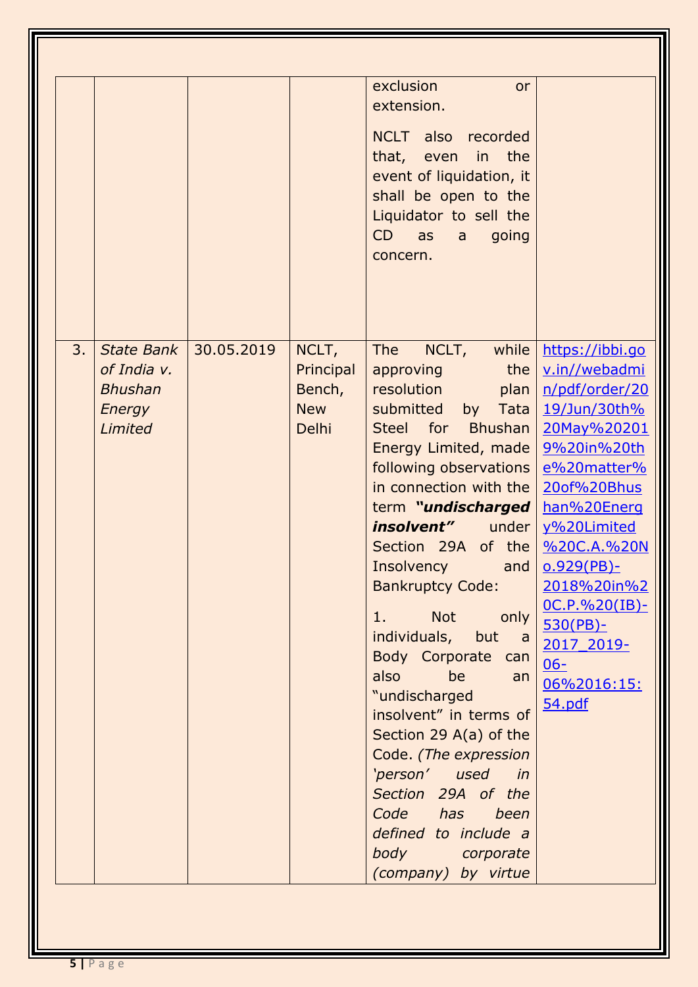|    |                                                                         |            |                                                     | exclusion<br>or<br>extension.<br>also<br><b>NCLT</b><br>recorded<br>that, even in the<br>event of liquidation, it<br>shall be open to the<br>Liquidator to sell the<br>CD<br>going<br>as<br>a<br>concern.                                                                                                                                                                                                                                                                                                                                                                                                                                                              |                                                                                                                                                                                                                                                                                                 |
|----|-------------------------------------------------------------------------|------------|-----------------------------------------------------|------------------------------------------------------------------------------------------------------------------------------------------------------------------------------------------------------------------------------------------------------------------------------------------------------------------------------------------------------------------------------------------------------------------------------------------------------------------------------------------------------------------------------------------------------------------------------------------------------------------------------------------------------------------------|-------------------------------------------------------------------------------------------------------------------------------------------------------------------------------------------------------------------------------------------------------------------------------------------------|
| 3. | <b>State Bank</b><br>of India v.<br><b>Bhushan</b><br>Energy<br>Limited | 30.05.2019 | NCLT,<br>Principal<br>Bench,<br><b>New</b><br>Delhi | while<br><b>The</b><br>NCLT,<br>the<br>approving<br>resolution<br>plan<br>submitted<br>Tata<br>by<br><b>Bhushan</b><br>for<br><b>Steel</b><br>Energy Limited, made<br>following observations<br>in connection with the<br>term "undischarged<br><i>insolvent"</i> under<br>Section 29A of the<br>Insolvency<br>and<br><b>Bankruptcy Code:</b><br><b>Not</b><br>only<br>1.<br>individuals, but a<br>Body Corporate can<br>also<br>be<br>an<br>"undischarged<br>insolvent" in terms of<br>Section 29 A(a) of the<br>Code. (The expression<br>'person' used<br>in<br>Section 29A of the<br>Code has been<br>defined to include a<br>body corporate<br>(company) by virtue | https://ibbi.go<br>v.in//webadmi<br>n/pdf/order/20<br>19/Jun/30th%<br>20May%20201<br>9%20in%20th<br>e%20matter%<br>20of%20Bhus<br>han%20Energ<br>y%20Limited<br>%20C.A.%20N<br>$0.929(PB)$ -<br>2018%20in%2<br>$OC.P.$ %20(IB)-<br>$530(PB)$ -<br>2017 2019-<br>$06 -$<br>06%2016:15:<br>54.pdf |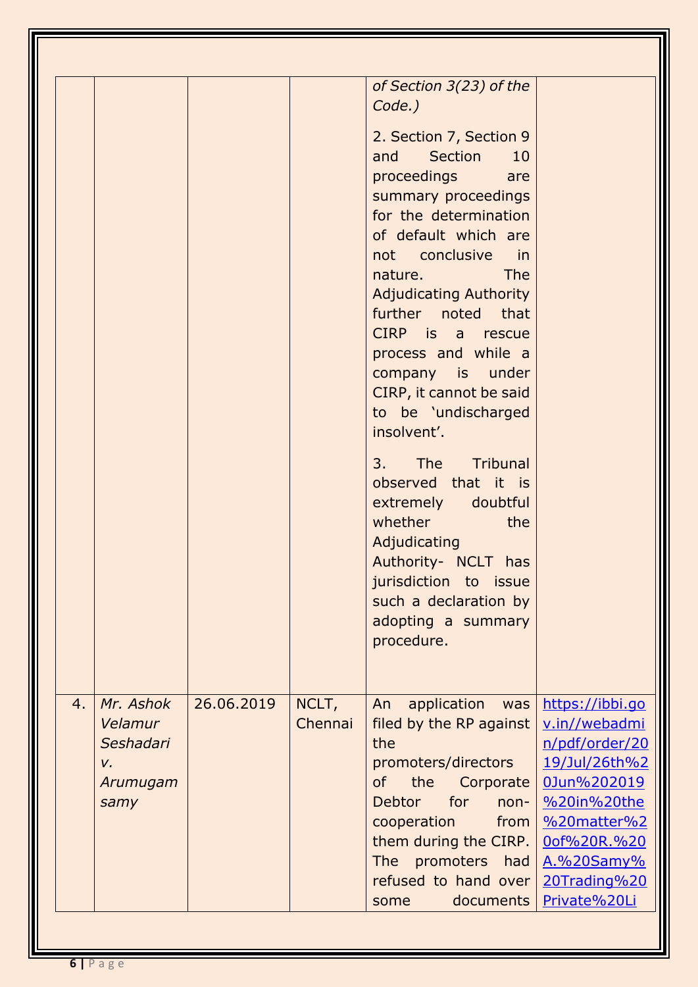|    |                                                             |            |                  | of Section 3(23) of the<br>Code.)<br>2. Section 7, Section 9<br>and Section<br>10<br>proceedings<br>are<br>summary proceedings<br>for the determination<br>of default which are<br>not conclusive in<br>The<br>nature.<br><b>Adjudicating Authority</b><br>further noted that<br>CIRP is a rescue<br>process and while a<br>company is under<br>CIRP, it cannot be said<br>to be 'undischarged<br>insolvent'.<br>The Tribunal<br>3.<br>observed that it is<br>extremely doubtful<br>whether<br>the<br>Adjudicating<br>Authority- NCLT has<br>jurisdiction to issue<br>such a declaration by<br>adopting a summary<br>procedure. |                                                                                                                                                                               |
|----|-------------------------------------------------------------|------------|------------------|---------------------------------------------------------------------------------------------------------------------------------------------------------------------------------------------------------------------------------------------------------------------------------------------------------------------------------------------------------------------------------------------------------------------------------------------------------------------------------------------------------------------------------------------------------------------------------------------------------------------------------|-------------------------------------------------------------------------------------------------------------------------------------------------------------------------------|
| 4. | Mr. Ashok<br>Velamur<br>Seshadari<br>V.<br>Arumugam<br>samy | 26.06.2019 | NCLT,<br>Chennai | application<br>An<br>was<br>filed by the RP against<br>the<br>promoters/directors<br><b>of</b><br>the<br>Corporate<br><b>Debtor</b><br>for<br>non-<br>cooperation<br>from<br>them during the CIRP.<br>promoters<br><b>The</b><br>had<br>refused to hand over<br>documents<br>some                                                                                                                                                                                                                                                                                                                                               | https://ibbi.go<br>v.in//webadmi<br>n/pdf/order/20<br>19/Jul/26th%2<br>0Jun%202019<br>%20in%20the<br>%20matter%2<br>0of%20R.%20<br>A.%20Samy%<br>20Trading%20<br>Private%20Li |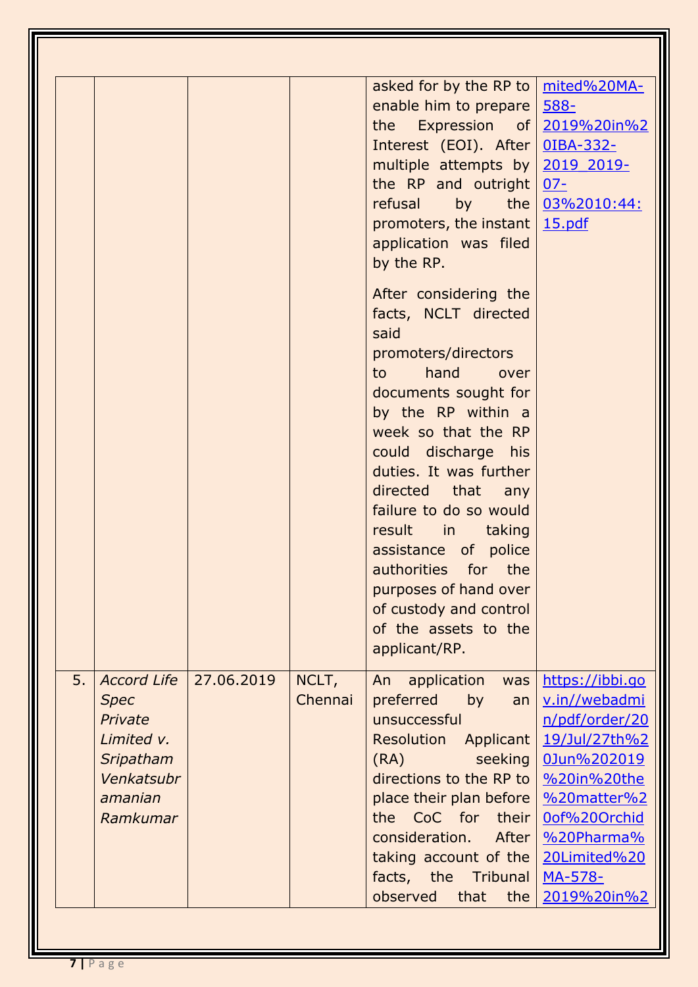|    |                                                                                                              |            |                  | asked for by the RP to $\sqrt{\frac{mited\%20MA}{}}$<br>enable him to prepare   588-<br>the Expression of $2019\%20\text{in}\%2$<br>Interest (EOI). After 0IBA-332-<br>multiple attempts by 2019 2019-<br>the RP and outright $07-$<br>refusal<br>promoters, the instant $\frac{15.pdf}{25}$<br>application was filed<br>by the RP.<br>After considering the<br>facts, NCLT directed<br>said<br>promoters/directors<br>hand<br>to to<br>over<br>documents sought for<br>by the RP within a<br>week so that the RP<br>could discharge his<br>duties. It was further<br>directed that any<br>failure to do so would<br>result in taking<br>assistance of police<br>authorities for the<br>purposes of hand over<br>of custody and control<br>of the assets to the<br>applicant/RP. | by the $0.3\frac{0.3062010:44}{5}$                                                                                                                                        |
|----|--------------------------------------------------------------------------------------------------------------|------------|------------------|----------------------------------------------------------------------------------------------------------------------------------------------------------------------------------------------------------------------------------------------------------------------------------------------------------------------------------------------------------------------------------------------------------------------------------------------------------------------------------------------------------------------------------------------------------------------------------------------------------------------------------------------------------------------------------------------------------------------------------------------------------------------------------|---------------------------------------------------------------------------------------------------------------------------------------------------------------------------|
| 5. | <b>Accord Life</b><br><b>Spec</b><br>Private<br>Limited v.<br>Sripatham<br>Venkatsubr<br>amanian<br>Ramkumar | 27.06.2019 | NCLT,<br>Chennai | application<br>An<br>was<br>preferred<br>by<br>an<br>unsuccessful<br><b>Resolution</b><br>Applicant<br>seeking<br>(RA)<br>directions to the RP to   %20in%20the<br>place their plan before<br>the CoC for their<br>consideration.<br>After  <br>taking account of the<br>facts, the<br>Tribunal<br>observed<br>that<br>the                                                                                                                                                                                                                                                                                                                                                                                                                                                       | https://ibbi.go<br>v.in//webadmi<br>n/pdf/order/20<br>19/Jul/27th%2<br>0Jun%202019<br>%20matter%2<br>0of%20Orchid<br>%20Pharma%<br>20Limited%20<br>MA-578-<br>2019%20in%2 |